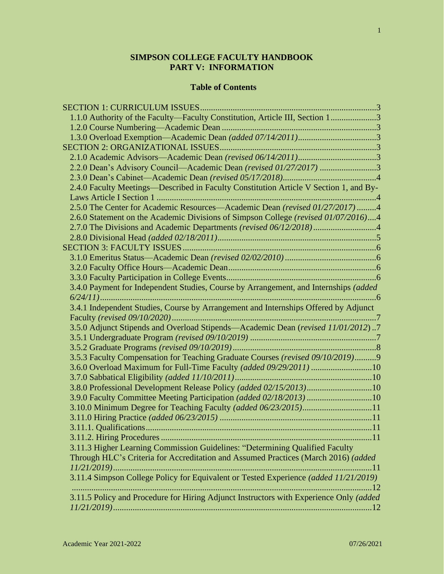# **SIMPSON COLLEGE FACULTY HANDBOOK PART V: INFORMATION**

### **Table of Contents**

| 1.1.0 Authority of the Faculty—Faculty Constitution, Article III, Section 13           |  |
|----------------------------------------------------------------------------------------|--|
|                                                                                        |  |
|                                                                                        |  |
|                                                                                        |  |
|                                                                                        |  |
| 2.2.0 Dean's Advisory Council—Academic Dean (revised 01/27/2017) 3                     |  |
|                                                                                        |  |
| 2.4.0 Faculty Meetings—Described in Faculty Constitution Article V Section 1, and By-  |  |
|                                                                                        |  |
| 2.5.0 The Center for Academic Resources—Academic Dean (revised 01/27/2017) 4           |  |
| 2.6.0 Statement on the Academic Divisions of Simpson College (revised 01/07/2016)4     |  |
|                                                                                        |  |
|                                                                                        |  |
|                                                                                        |  |
|                                                                                        |  |
|                                                                                        |  |
|                                                                                        |  |
| 3.4.0 Payment for Independent Studies, Course by Arrangement, and Internships (added   |  |
|                                                                                        |  |
| 3.4.1 Independent Studies, Course by Arrangement and Internships Offered by Adjunct    |  |
|                                                                                        |  |
| 3.5.0 Adjunct Stipends and Overload Stipends-Academic Dean (revised 11/01/2012)7       |  |
|                                                                                        |  |
|                                                                                        |  |
| 3.5.3 Faculty Compensation for Teaching Graduate Courses (revised 09/10/2019)9         |  |
| 3.6.0 Overload Maximum for Full-Time Faculty (added 09/29/2011) 10                     |  |
|                                                                                        |  |
| 3.8.0 Professional Development Release Policy (added 02/15/2013)10                     |  |
| 3.9.0 Faculty Committee Meeting Participation (added 02/18/2013) 10                    |  |
|                                                                                        |  |
|                                                                                        |  |
|                                                                                        |  |
|                                                                                        |  |
| 3.11.3 Higher Learning Commission Guidelines: "Determining Qualified Faculty           |  |
| Through HLC's Criteria for Accreditation and Assumed Practices (March 2016) (added     |  |
| $11/21/2019$<br>11                                                                     |  |
| 3.11.4 Simpson College Policy for Equivalent or Tested Experience (added 11/21/2019)   |  |
| 12                                                                                     |  |
| 3.11.5 Policy and Procedure for Hiring Adjunct Instructors with Experience Only (added |  |
|                                                                                        |  |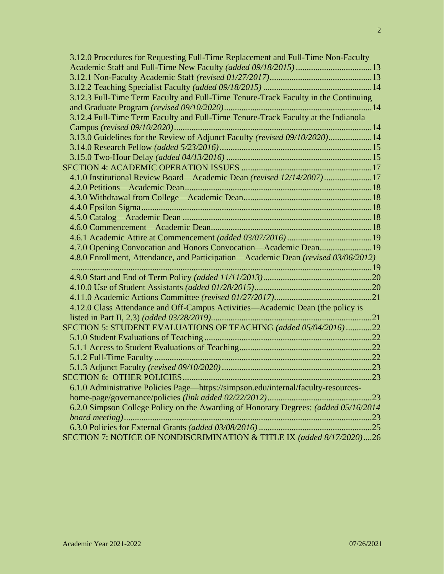| 3.12.0 Procedures for Requesting Full-Time Replacement and Full-Time Non-Faculty    |  |
|-------------------------------------------------------------------------------------|--|
|                                                                                     |  |
|                                                                                     |  |
|                                                                                     |  |
| 3.12.3 Full-Time Term Faculty and Full-Time Tenure-Track Faculty in the Continuing  |  |
|                                                                                     |  |
| 3.12.4 Full-Time Term Faculty and Full-Time Tenure-Track Faculty at the Indianola   |  |
|                                                                                     |  |
| 3.13.0 Guidelines for the Review of Adjunct Faculty (revised 09/10/2020)14          |  |
|                                                                                     |  |
|                                                                                     |  |
|                                                                                     |  |
| 4.1.0 Institutional Review Board—Academic Dean (revised 12/14/2007)17               |  |
|                                                                                     |  |
|                                                                                     |  |
|                                                                                     |  |
|                                                                                     |  |
|                                                                                     |  |
|                                                                                     |  |
| 4.7.0 Opening Convocation and Honors Convocation-Academic Dean19                    |  |
| 4.8.0 Enrollment, Attendance, and Participation—Academic Dean (revised 03/06/2012)  |  |
|                                                                                     |  |
|                                                                                     |  |
|                                                                                     |  |
|                                                                                     |  |
| 4.12.0 Class Attendance and Off-Campus Activities—Academic Dean (the policy is      |  |
|                                                                                     |  |
| SECTION 5: STUDENT EVALUATIONS OF TEACHING (added 05/04/2016) 22                    |  |
|                                                                                     |  |
|                                                                                     |  |
|                                                                                     |  |
|                                                                                     |  |
|                                                                                     |  |
| 6.1.0 Administrative Policies Page—https://simpson.edu/internal/faculty-resources-  |  |
|                                                                                     |  |
| 6.2.0 Simpson College Policy on the Awarding of Honorary Degrees: (added 05/16/2014 |  |
|                                                                                     |  |
|                                                                                     |  |
| SECTION 7: NOTICE OF NONDISCRIMINATION & TITLE IX (added 8/17/2020)26               |  |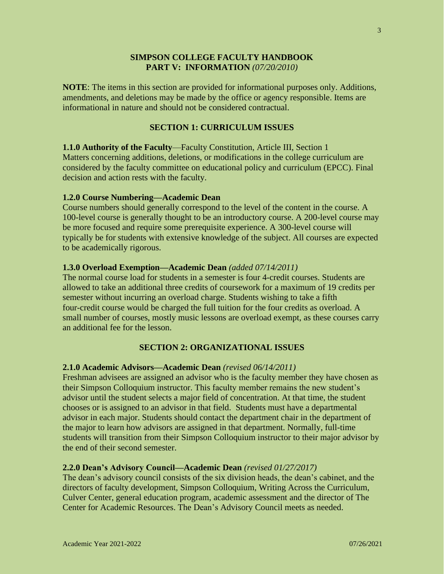### **SIMPSON COLLEGE FACULTY HANDBOOK PART V: INFORMATION** *(07/20/2010)*

**NOTE**: The items in this section are provided for informational purposes only. Additions, amendments, and deletions may be made by the office or agency responsible. Items are informational in nature and should not be considered contractual.

# **SECTION 1: CURRICULUM ISSUES**

**1.1.0 Authority of the Faculty**—Faculty Constitution, Article III, Section 1 Matters concerning additions, deletions, or modifications in the college curriculum are considered by the faculty committee on educational policy and curriculum (EPCC). Final decision and action rests with the faculty.

### **1.2.0 Course Numbering—Academic Dean**

Course numbers should generally correspond to the level of the content in the course. A 100-level course is generally thought to be an introductory course. A 200-level course may be more focused and require some prerequisite experience. A 300-level course will typically be for students with extensive knowledge of the subject. All courses are expected to be academically rigorous.

### **1.3.0 Overload Exemption—Academic Dean** *(added 07/14/2011)*

The normal course load for students in a semester is four 4-credit courses. Students are allowed to take an additional three credits of coursework for a maximum of 19 credits per semester without incurring an overload charge. Students wishing to take a fifth four-credit course would be charged the full tuition for the four credits as overload. A small number of courses, mostly music lessons are overload exempt, as these courses carry an additional fee for the lesson.

# **SECTION 2: ORGANIZATIONAL ISSUES**

### **2.1.0 Academic Advisors—Academic Dean** *(revised 06/14/2011)*

Freshman advisees are assigned an advisor who is the faculty member they have chosen as their Simpson Colloquium instructor. This faculty member remains the new student's advisor until the student selects a major field of concentration. At that time, the student chooses or is assigned to an advisor in that field. Students must have a departmental advisor in each major. Students should contact the department chair in the department of the major to learn how advisors are assigned in that department. Normally, full-time students will transition from their Simpson Colloquium instructor to their major advisor by the end of their second semester.

### **2.2.0 Dean's Advisory Council—Academic Dean** *(revised 01/27/2017)*

The dean's advisory council consists of the six division heads, the dean's cabinet, and the directors of faculty development, Simpson Colloquium, Writing Across the Curriculum, Culver Center, general education program, academic assessment and the director of The Center for Academic Resources. The Dean's Advisory Council meets as needed.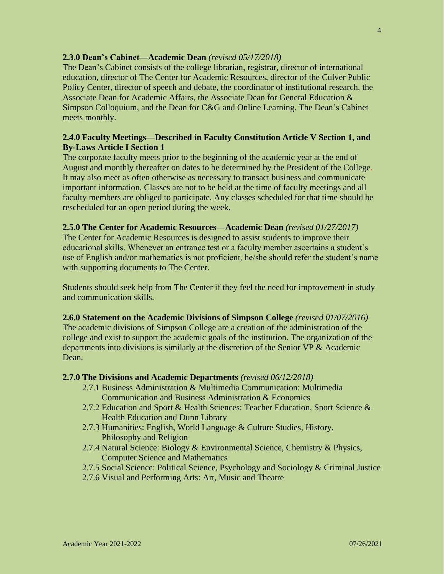### **2.3.0 Dean's Cabinet—Academic Dean** *(revised 05/17/2018)*

The Dean's Cabinet consists of the college librarian, registrar, director of international education, director of The Center for Academic Resources, director of the Culver Public Policy Center, director of speech and debate, the coordinator of institutional research, the Associate Dean for Academic Affairs, the Associate Dean for General Education & Simpson Colloquium, and the Dean for C&G and Online Learning. The Dean's Cabinet meets monthly.

# **2.4.0 Faculty Meetings—Described in Faculty Constitution Article V Section 1, and By-Laws Article I Section 1**

The corporate faculty meets prior to the beginning of the academic year at the end of August and monthly thereafter on dates to be determined by the President of the College. It may also meet as often otherwise as necessary to transact business and communicate important information. Classes are not to be held at the time of faculty meetings and all faculty members are obliged to participate. Any classes scheduled for that time should be rescheduled for an open period during the week.

### **2.5.0 The Center for Academic Resources—Academic Dean** *(revised 01/27/2017)*

The Center for Academic Resources is designed to assist students to improve their educational skills. Whenever an entrance test or a faculty member ascertains a student's use of English and/or mathematics is not proficient, he/she should refer the student's name with supporting documents to The Center.

Students should seek help from The Center if they feel the need for improvement in study and communication skills.

### **2.6.0 Statement on the Academic Divisions of Simpson College** *(revised 01/07/2016)*

The academic divisions of Simpson College are a creation of the administration of the college and exist to support the academic goals of the institution. The organization of the departments into divisions is similarly at the discretion of the Senior VP & Academic Dean.

### **2.7.0 The Divisions and Academic Departments** *(revised 06/12/2018)*

- 2.7.1 Business Administration & Multimedia Communication: Multimedia Communication and Business Administration & Economics
- 2.7.2 Education and Sport & Health Sciences: Teacher Education, Sport Science & Health Education and Dunn Library
- 2.7.3 Humanities: English, World Language & Culture Studies, History, Philosophy and Religion
- 2.7.4 Natural Science: Biology & Environmental Science, Chemistry & Physics, Computer Science and Mathematics
- 2.7.5 Social Science: Political Science, Psychology and Sociology & Criminal Justice
- 2.7.6 Visual and Performing Arts: Art, Music and Theatre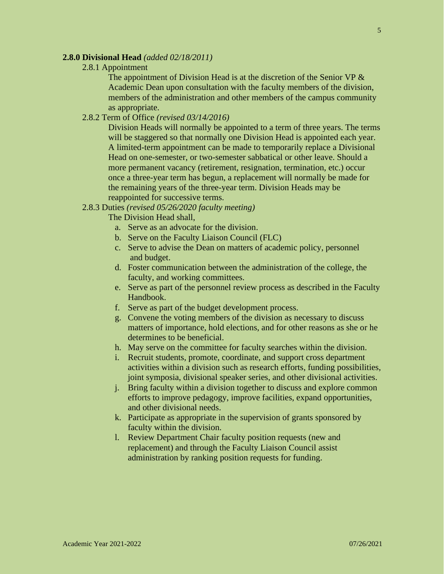### **2.8.0 Divisional Head** *(added 02/18/2011)*

2.8.1 Appointment

The appointment of Division Head is at the discretion of the Senior VP & Academic Dean upon consultation with the faculty members of the division, members of the administration and other members of the campus community as appropriate.

2.8.2 Term of Office *(revised 03/14/2016)*

Division Heads will normally be appointed to a term of three years. The terms will be staggered so that normally one Division Head is appointed each year. A limited-term appointment can be made to temporarily replace a Divisional Head on one-semester, or two-semester sabbatical or other leave. Should a more permanent vacancy (retirement, resignation, termination, etc.) occur once a three-year term has begun, a replacement will normally be made for the remaining years of the three-year term. Division Heads may be reappointed for successive terms.

2.8.3 Duties *(revised 05/26/2020 faculty meeting)*

The Division Head shall,

- a. Serve as an advocate for the division.
- b. Serve on the Faculty Liaison Council (FLC)
- c. Serve to advise the Dean on matters of academic policy, personnel and budget.
- d. Foster communication between the administration of the college, the faculty, and working committees.
- e. Serve as part of the personnel review process as described in the Faculty Handbook.
- f. Serve as part of the budget development process.
- g. Convene the voting members of the division as necessary to discuss matters of importance, hold elections, and for other reasons as she or he determines to be beneficial.
- h. May serve on the committee for faculty searches within the division.
- i. Recruit students, promote, coordinate, and support cross department activities within a division such as research efforts, funding possibilities, joint symposia, divisional speaker series, and other divisional activities.
- j. Bring faculty within a division together to discuss and explore common efforts to improve pedagogy, improve facilities, expand opportunities, and other divisional needs.
- k. Participate as appropriate in the supervision of grants sponsored by faculty within the division.
- l. Review Department Chair faculty position requests (new and replacement) and through the Faculty Liaison Council assist administration by ranking position requests for funding.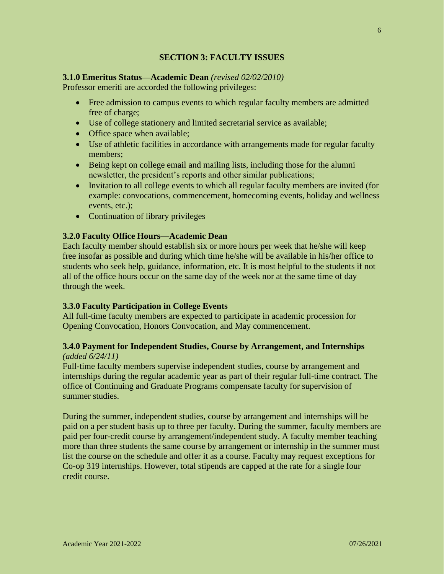# **SECTION 3: FACULTY ISSUES**

# **3.1.0 Emeritus Status—Academic Dean** *(revised 02/02/2010)*

Professor emeriti are accorded the following privileges:

- Free admission to campus events to which regular faculty members are admitted free of charge;
- Use of college stationery and limited secretarial service as available;
- Office space when available;
- Use of athletic facilities in accordance with arrangements made for regular faculty members;
- Being kept on college email and mailing lists, including those for the alumni newsletter, the president's reports and other similar publications;
- Invitation to all college events to which all regular faculty members are invited (for example: convocations, commencement, homecoming events, holiday and wellness events, etc.);
- Continuation of library privileges

# **3.2.0 Faculty Office Hours—Academic Dean**

Each faculty member should establish six or more hours per week that he/she will keep free insofar as possible and during which time he/she will be available in his/her office to students who seek help, guidance, information, etc. It is most helpful to the students if not all of the office hours occur on the same day of the week nor at the same time of day through the week.

# **3.3.0 Faculty Participation in College Events**

All full-time faculty members are expected to participate in academic procession for Opening Convocation, Honors Convocation, and May commencement.

### **3.4.0 Payment for Independent Studies, Course by Arrangement, and Internships**  *(added 6/24/11)*

Full-time faculty members supervise independent studies, course by arrangement and internships during the regular academic year as part of their regular full-time contract. The office of Continuing and Graduate Programs compensate faculty for supervision of summer studies.

During the summer, independent studies, course by arrangement and internships will be paid on a per student basis up to three per faculty. During the summer, faculty members are paid per four-credit course by arrangement/independent study. A faculty member teaching more than three students the same course by arrangement or internship in the summer must list the course on the schedule and offer it as a course. Faculty may request exceptions for Co-op 319 internships. However, total stipends are capped at the rate for a single four credit course.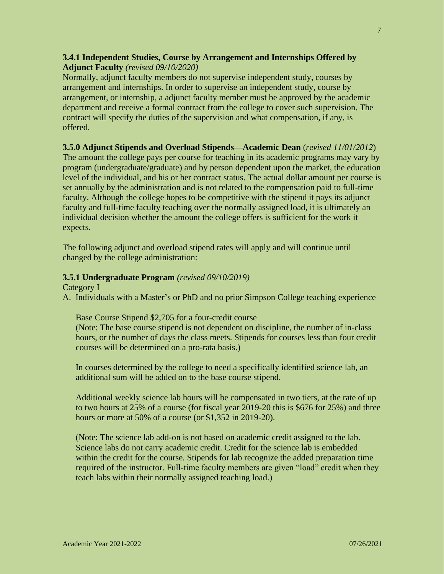# **3.4.1 Independent Studies, Course by Arrangement and Internships Offered by Adjunct Faculty** *(revised 09/10/2020)*

Normally, adjunct faculty members do not supervise independent study, courses by arrangement and internships. In order to supervise an independent study, course by arrangement, or internship, a adjunct faculty member must be approved by the academic department and receive a formal contract from the college to cover such supervision. The contract will specify the duties of the supervision and what compensation, if any, is offered.

# **3.5.0 Adjunct Stipends and Overload Stipends—Academic Dean** (*revised 11/01/2012*)

The amount the college pays per course for teaching in its academic programs may vary by program (undergraduate/graduate) and by person dependent upon the market, the education level of the individual, and his or her contract status. The actual dollar amount per course is set annually by the administration and is not related to the compensation paid to full-time faculty. Although the college hopes to be competitive with the stipend it pays its adjunct faculty and full-time faculty teaching over the normally assigned load, it is ultimately an individual decision whether the amount the college offers is sufficient for the work it expects.

The following adjunct and overload stipend rates will apply and will continue until changed by the college administration:

# **3.5.1 Undergraduate Program** *(revised 09/10/2019)*

Category I

A. Individuals with a Master's or PhD and no prior Simpson College teaching experience

# Base Course Stipend \$2,705 for a four-credit course

(Note: The base course stipend is not dependent on discipline, the number of in-class hours, or the number of days the class meets. Stipends for courses less than four credit courses will be determined on a pro-rata basis.)

In courses determined by the college to need a specifically identified science lab, an additional sum will be added on to the base course stipend.

Additional weekly science lab hours will be compensated in two tiers, at the rate of up to two hours at 25% of a course (for fiscal year 2019-20 this is \$676 for 25%) and three hours or more at 50% of a course (or \$1,352 in 2019-20).

(Note: The science lab add-on is not based on academic credit assigned to the lab. Science labs do not carry academic credit. Credit for the science lab is embedded within the credit for the course. Stipends for lab recognize the added preparation time required of the instructor. Full-time faculty members are given "load" credit when they teach labs within their normally assigned teaching load.)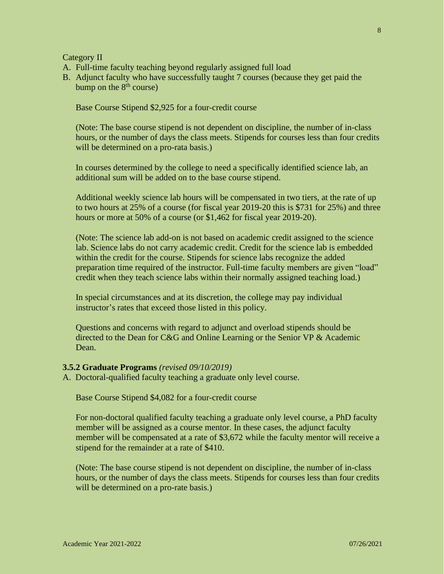Category II

- A. Full-time faculty teaching beyond regularly assigned full load
- B. Adjunct faculty who have successfully taught 7 courses (because they get paid the bump on the  $8<sup>th</sup>$  course)

Base Course Stipend \$2,925 for a four-credit course

(Note: The base course stipend is not dependent on discipline, the number of in-class hours, or the number of days the class meets. Stipends for courses less than four credits will be determined on a pro-rata basis.)

In courses determined by the college to need a specifically identified science lab, an additional sum will be added on to the base course stipend.

Additional weekly science lab hours will be compensated in two tiers, at the rate of up to two hours at 25% of a course (for fiscal year 2019-20 this is \$731 for 25%) and three hours or more at 50% of a course (or \$1,462 for fiscal year 2019-20).

(Note: The science lab add-on is not based on academic credit assigned to the science lab. Science labs do not carry academic credit. Credit for the science lab is embedded within the credit for the course. Stipends for science labs recognize the added preparation time required of the instructor. Full-time faculty members are given "load" credit when they teach science labs within their normally assigned teaching load.)

In special circumstances and at its discretion, the college may pay individual instructor's rates that exceed those listed in this policy.

Questions and concerns with regard to adjunct and overload stipends should be directed to the Dean for C&G and Online Learning or the Senior VP & Academic Dean.

### **3.5.2 Graduate Programs** *(revised 09/10/2019)*

A. Doctoral-qualified faculty teaching a graduate only level course.

Base Course Stipend \$4,082 for a four-credit course

For non-doctoral qualified faculty teaching a graduate only level course, a PhD faculty member will be assigned as a course mentor. In these cases, the adjunct faculty member will be compensated at a rate of \$3,672 while the faculty mentor will receive a stipend for the remainder at a rate of \$410.

(Note: The base course stipend is not dependent on discipline, the number of in-class hours, or the number of days the class meets. Stipends for courses less than four credits will be determined on a pro-rate basis.)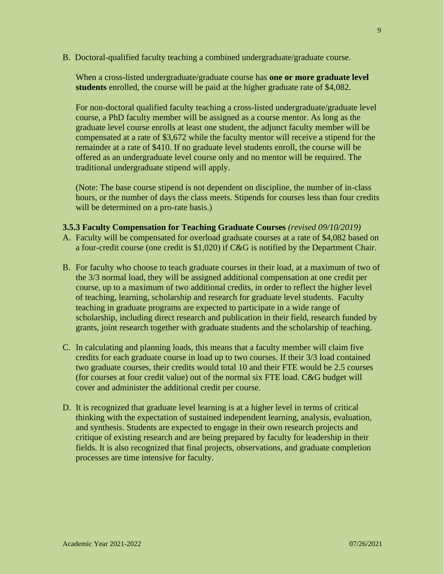B. Doctoral-qualified faculty teaching a combined undergraduate/graduate course.

When a cross**-**listed undergraduate/graduate course has **one or more graduate level students** enrolled, the course will be paid at the higher graduate rate of \$4,082.

For non-doctoral qualified faculty teaching a cross-listed undergraduate/graduate level course, a PhD faculty member will be assigned as a course mentor. As long as the graduate level course enrolls at least one student, the adjunct faculty member will be compensated at a rate of \$3,672 while the faculty mentor will receive a stipend for the remainder at a rate of \$410. If no graduate level students enroll, the course will be offered as an undergraduate level course only and no mentor will be required. The traditional undergraduate stipend will apply.

(Note: The base course stipend is not dependent on discipline, the number of in-class hours, or the number of days the class meets. Stipends for courses less than four credits will be determined on a pro-rate basis.)

- **3.5.3 Faculty Compensation for Teaching Graduate Courses** *(revised 09/10/2019)*
- A. Faculty will be compensated for overload graduate courses at a rate of \$4,082 based on a four-credit course (one credit is \$1,020) if C&G is notified by the Department Chair.
- B. For faculty who choose to teach graduate courses in their load, at a maximum of two of the 3/3 normal load, they will be assigned additional compensation at one credit per course, up to a maximum of two additional credits, in order to reflect the higher level of teaching, learning, scholarship and research for graduate level students. Faculty teaching in graduate programs are expected to participate in a wide range of scholarship, including direct research and publication in their field, research funded by grants, joint research together with graduate students and the scholarship of teaching.
- C. In calculating and planning loads, this means that a faculty member will claim five credits for each graduate course in load up to two courses. If their 3/3 load contained two graduate courses, their credits would total 10 and their FTE would be 2.5 courses (for courses at four credit value) out of the normal six FTE load. C&G budget will cover and administer the additional credit per course.
- D. It is recognized that graduate level learning is at a higher level in terms of critical thinking with the expectation of sustained independent learning, analysis, evaluation, and synthesis. Students are expected to engage in their own research projects and critique of existing research and are being prepared by faculty for leadership in their fields. It is also recognized that final projects, observations, and graduate completion processes are time intensive for faculty.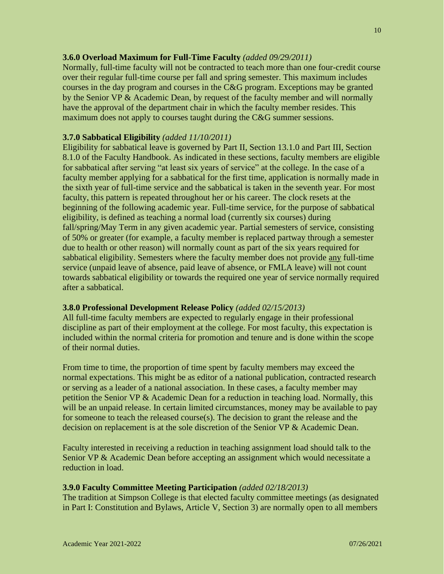### **3.6.0 Overload Maximum for Full-Time Faculty** *(added 09/29/2011)*

Normally, full-time faculty will not be contracted to teach more than one four-credit course over their regular full-time course per fall and spring semester. This maximum includes courses in the day program and courses in the C&G program. Exceptions may be granted by the Senior VP & Academic Dean, by request of the faculty member and will normally have the approval of the department chair in which the faculty member resides. This maximum does not apply to courses taught during the C&G summer sessions.

### **3.7.0 Sabbatical Eligibility** *(added 11/10/2011)*

Eligibility for sabbatical leave is governed by Part II, Section 13.1.0 and Part III, Section 8.1.0 of the Faculty Handbook. As indicated in these sections, faculty members are eligible for sabbatical after serving "at least six years of service" at the college. In the case of a faculty member applying for a sabbatical for the first time, application is normally made in the sixth year of full-time service and the sabbatical is taken in the seventh year. For most faculty, this pattern is repeated throughout her or his career. The clock resets at the beginning of the following academic year. Full-time service, for the purpose of sabbatical eligibility, is defined as teaching a normal load (currently six courses) during fall/spring/May Term in any given academic year. Partial semesters of service, consisting of 50% or greater (for example, a faculty member is replaced partway through a semester due to health or other reason) will normally count as part of the six years required for sabbatical eligibility. Semesters where the faculty member does not provide any full-time service (unpaid leave of absence, paid leave of absence, or FMLA leave) will not count towards sabbatical eligibility or towards the required one year of service normally required after a sabbatical.

### **3.8.0 Professional Development Release Policy** *(added 02/15/2013)*

All full-time faculty members are expected to regularly engage in their professional discipline as part of their employment at the college. For most faculty, this expectation is included within the normal criteria for promotion and tenure and is done within the scope of their normal duties.

From time to time, the proportion of time spent by faculty members may exceed the normal expectations. This might be as editor of a national publication, contracted research or serving as a leader of a national association. In these cases, a faculty member may petition the Senior VP & Academic Dean for a reduction in teaching load. Normally, this will be an unpaid release. In certain limited circumstances, money may be available to pay for someone to teach the released course(s). The decision to grant the release and the decision on replacement is at the sole discretion of the Senior VP & Academic Dean.

Faculty interested in receiving a reduction in teaching assignment load should talk to the Senior VP & Academic Dean before accepting an assignment which would necessitate a reduction in load.

# **3.9.0 Faculty Committee Meeting Participation** *(added 02/18/2013)*

The tradition at Simpson College is that elected faculty committee meetings (as designated in Part I: Constitution and Bylaws, Article V, Section 3) are normally open to all members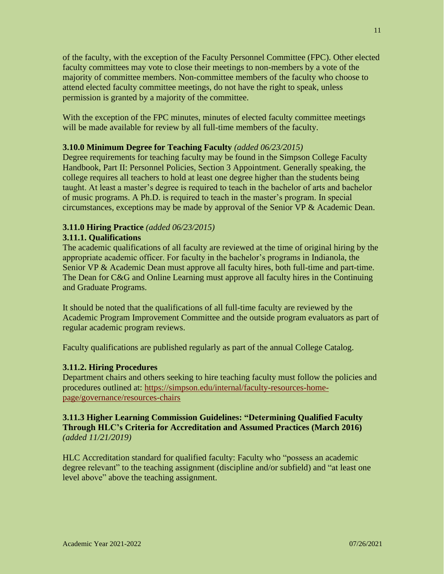of the faculty, with the exception of the Faculty Personnel Committee (FPC). Other elected faculty committees may vote to close their meetings to non-members by a vote of the majority of committee members. Non-committee members of the faculty who choose to attend elected faculty committee meetings, do not have the right to speak, unless permission is granted by a majority of the committee.

With the exception of the FPC minutes, minutes of elected faculty committee meetings will be made available for review by all full-time members of the faculty.

# **3.10.0 Minimum Degree for Teaching Faculty** *(added 06/23/2015)*

Degree requirements for teaching faculty may be found in the Simpson College Faculty Handbook, Part II: Personnel Policies, Section 3 Appointment. Generally speaking, the college requires all teachers to hold at least one degree higher than the students being taught. At least a master's degree is required to teach in the bachelor of arts and bachelor of music programs. A Ph.D. is required to teach in the master's program. In special circumstances, exceptions may be made by approval of the Senior VP & Academic Dean.

# **3.11.0 Hiring Practice** *(added 06/23/2015)*

# **3.11.1. Qualifications**

The academic qualifications of all faculty are reviewed at the time of original hiring by the appropriate academic officer. For faculty in the bachelor's programs in Indianola, the Senior VP & Academic Dean must approve all faculty hires, both full-time and part-time. The Dean for C&G and Online Learning must approve all faculty hires in the Continuing and Graduate Programs.

It should be noted that the qualifications of all full-time faculty are reviewed by the Academic Program Improvement Committee and the outside program evaluators as part of regular academic program reviews.

Faculty qualifications are published regularly as part of the annual College Catalog.

# **3.11.2. Hiring Procedures**

Department chairs and others seeking to hire teaching faculty must follow the policies and procedures outlined at: [https://simpson.edu/internal/faculty-resources-home](https://simpson.edu/internal/faculty-resources-home-page/governance/resources-chairs)[page/governance/resources-chairs](https://simpson.edu/internal/faculty-resources-home-page/governance/resources-chairs)

### **3.11.3 Higher Learning Commission Guidelines: "Determining Qualified Faculty Through HLC's Criteria for Accreditation and Assumed Practices (March 2016)** *(added 11/21/2019)*

HLC Accreditation standard for qualified faculty: Faculty who "possess an academic degree relevant" to the teaching assignment (discipline and/or subfield) and "at least one level above" above the teaching assignment.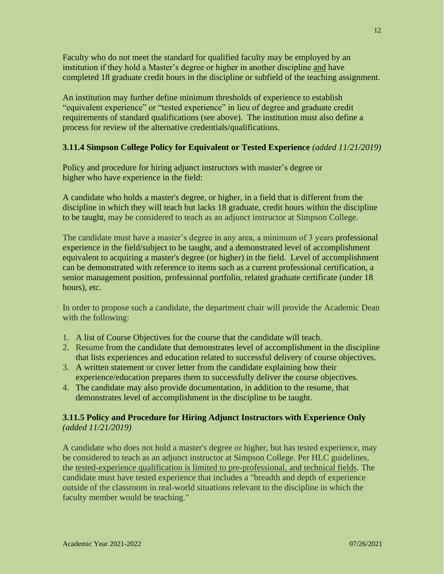Faculty who do not meet the standard for qualified faculty may be employed by an institution if they hold a Master's degree or higher in another discipline and have completed 18 graduate credit hours in the discipline or subfield of the teaching assignment.

An institution may further define minimum thresholds of experience to establish "equivalent experience" or "tested experience" in lieu of degree and graduate credit requirements of standard qualifications (see above). The institution must also define a process for review of the alternative credentials/qualifications.

# **3.11.4 Simpson College Policy for Equivalent or Tested Experience** *(added 11/21/2019)*

Policy and procedure for hiring adjunct instructors with master's degree or higher who have experience in the field:

A candidate who holds a master's degree, or higher, in a field that is different from the discipline in which they will teach but lacks 18 graduate, credit hours within the discipline to be taught, may be considered to teach as an adjunct instructor at Simpson College.

The candidate must have a master's degree in any area, a minimum of 3 years professional experience in the field/subject to be taught, and a demonstrated level of accomplishment equivalent to acquiring a master's degree (or higher) in the field. Level of accomplishment can be demonstrated with reference to items such as a current professional certification, a senior management position, professional portfolio, related graduate certificate (under 18 hours), etc.

In order to propose such a candidate, the department chair will provide the Academic Dean with the following:

- 1. A list of Course Objectives for the course that the candidate will teach.
- 2. Resume from the candidate that demonstrates level of accomplishment in the discipline that lists experiences and education related to successful delivery of course objectives.
- 3. A written statement or cover letter from the candidate explaining how their experience/education prepares them to successfully deliver the course objectives.
- 4. The candidate may also provide documentation, in addition to the resume, that demonstrates level of accomplishment in the discipline to be taught.

# **3.11.5 Policy and Procedure for Hiring Adjunct Instructors with Experience Only** *(added 11/21/2019)*

A candidate who does not hold a master's degree or higher, but has tested experience, may be considered to teach as an adjunct instructor at Simpson College. Per HLC guidelines, the tested-experience qualification is limited to pre-professional, and technical fields. The candidate must have tested experience that includes a "breadth and depth of experience outside of the classroom in real-world situations relevant to the discipline in which the faculty member would be teaching."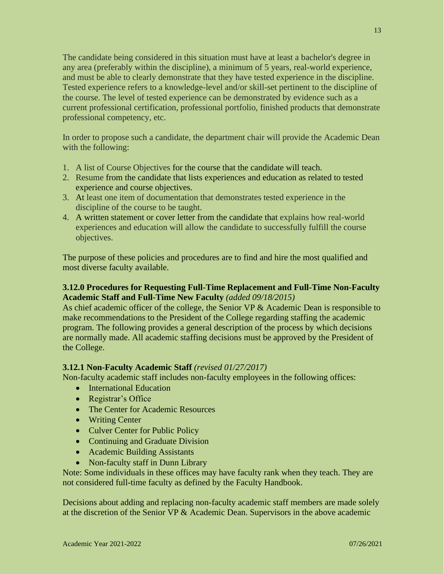The candidate being considered in this situation must have at least a bachelor's degree in any area (preferably within the discipline), a minimum of 5 years, real-world experience, and must be able to clearly demonstrate that they have tested experience in the discipline. Tested experience refers to a knowledge-level and/or skill-set pertinent to the discipline of the course. The level of tested experience can be demonstrated by evidence such as a current professional certification, professional portfolio, finished products that demonstrate professional competency, etc.

In order to propose such a candidate, the department chair will provide the Academic Dean with the following:

- 1. A list of Course Objectives for the course that the candidate will teach.
- 2. Resume from the candidate that lists experiences and education as related to tested experience and course objectives.
- 3. At least one item of documentation that demonstrates tested experience in the discipline of the course to be taught.
- 4. A written statement or cover letter from the candidate that explains how real-world experiences and education will allow the candidate to successfully fulfill the course objectives.

The purpose of these policies and procedures are to find and hire the most qualified and most diverse faculty available.

# **3.12.0 Procedures for Requesting Full-Time Replacement and Full-Time Non-Faculty Academic Staff and Full-Time New Faculty** *(added 09/18/2015)*

As chief academic officer of the college, the Senior VP & Academic Dean is responsible to make recommendations to the President of the College regarding staffing the academic program. The following provides a general description of the process by which decisions are normally made. All academic staffing decisions must be approved by the President of the College.

# **3.12.1 Non-Faculty Academic Staff** *(revised 01/27/2017)*

Non-faculty academic staff includes non-faculty employees in the following offices:

- International Education
- Registrar's Office
- The Center for Academic Resources
- Writing Center
- Culver Center for Public Policy
- Continuing and Graduate Division
- Academic Building Assistants
- Non-faculty staff in Dunn Library

Note: Some individuals in these offices may have faculty rank when they teach. They are not considered full-time faculty as defined by the Faculty Handbook.

Decisions about adding and replacing non-faculty academic staff members are made solely at the discretion of the Senior VP & Academic Dean. Supervisors in the above academic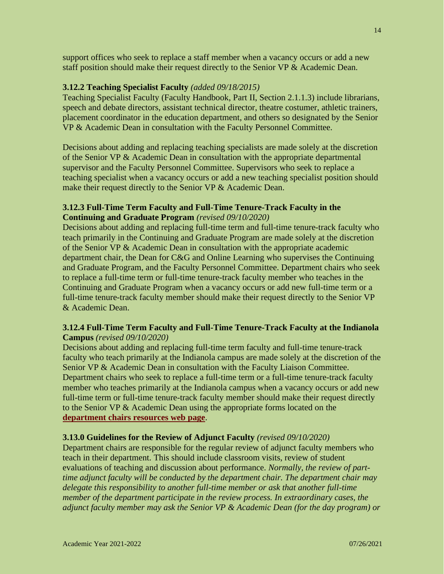support offices who seek to replace a staff member when a vacancy occurs or add a new staff position should make their request directly to the Senior VP & Academic Dean.

### **3.12.2 Teaching Specialist Faculty** *(added 09/18/2015)*

Teaching Specialist Faculty (Faculty Handbook, Part II, Section 2.1.1.3) include librarians, speech and debate directors, assistant technical director, theatre costumer, athletic trainers, placement coordinator in the education department, and others so designated by the Senior VP & Academic Dean in consultation with the Faculty Personnel Committee.

Decisions about adding and replacing teaching specialists are made solely at the discretion of the Senior VP & Academic Dean in consultation with the appropriate departmental supervisor and the Faculty Personnel Committee. Supervisors who seek to replace a teaching specialist when a vacancy occurs or add a new teaching specialist position should make their request directly to the Senior VP & Academic Dean.

### **3.12.3 Full-Time Term Faculty and Full-Time Tenure-Track Faculty in the Continuing and Graduate Program** *(revised 09/10/2020)*

Decisions about adding and replacing full-time term and full-time tenure-track faculty who teach primarily in the Continuing and Graduate Program are made solely at the discretion of the Senior VP & Academic Dean in consultation with the appropriate academic department chair, the Dean for C&G and Online Learning who supervises the Continuing and Graduate Program, and the Faculty Personnel Committee. Department chairs who seek to replace a full-time term or full-time tenure-track faculty member who teaches in the Continuing and Graduate Program when a vacancy occurs or add new full-time term or a full-time tenure-track faculty member should make their request directly to the Senior VP & Academic Dean.

### **3.12.4 Full-Time Term Faculty and Full-Time Tenure-Track Faculty at the Indianola Campus** *(revised 09/10/2020)*

Decisions about adding and replacing full-time term faculty and full-time tenure-track faculty who teach primarily at the Indianola campus are made solely at the discretion of the Senior VP & Academic Dean in consultation with the Faculty Liaison Committee. Department chairs who seek to replace a full-time term or a full-time tenure-track faculty member who teaches primarily at the Indianola campus when a vacancy occurs or add new full-time term or full-time tenure-track faculty member should make their request directly to the Senior VP & Academic Dean using the appropriate forms located on the **[department chairs resources](https://simpson.edu/internal/faculty-resources-home-page/governance/resources-chairs) web page**.

### **3.13.0 Guidelines for the Review of Adjunct Faculty** *(revised 09/10/2020)*

Department chairs are responsible for the regular review of adjunct faculty members who teach in their department. This should include classroom visits, review of student evaluations of teaching and discussion about performance. *Normally, the review of parttime adjunct faculty will be conducted by the department chair. The department chair may delegate this responsibility to another full-time member or ask that another full-time member of the department participate in the review process. In extraordinary cases, the adjunct faculty member may ask the Senior VP & Academic Dean (for the day program) or*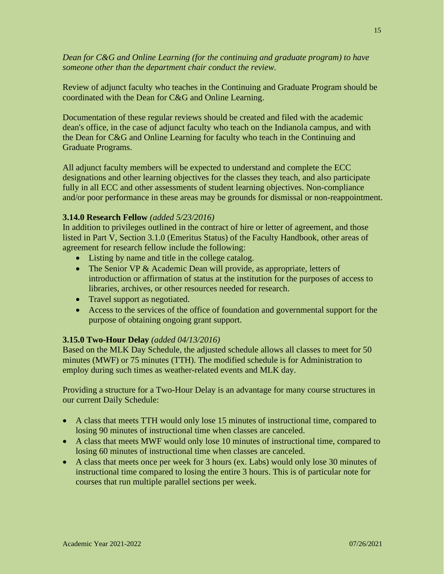*Dean for C&G and Online Learning (for the continuing and graduate program) to have someone other than the department chair conduct the review.*

Review of adjunct faculty who teaches in the Continuing and Graduate Program should be coordinated with the Dean for C&G and Online Learning.

Documentation of these regular reviews should be created and filed with the academic dean's office, in the case of adjunct faculty who teach on the Indianola campus, and with the Dean for C&G and Online Learning for faculty who teach in the Continuing and Graduate Programs.

All adjunct faculty members will be expected to understand and complete the ECC designations and other learning objectives for the classes they teach, and also participate fully in all ECC and other assessments of student learning objectives. Non-compliance and/or poor performance in these areas may be grounds for dismissal or non-reappointment.

### **3.14.0 Research Fellow** *(added 5/23/2016)*

In addition to privileges outlined in the contract of hire or letter of agreement, and those listed in Part V, Section 3.1.0 (Emeritus Status) of the Faculty Handbook, other areas of agreement for research fellow include the following:

- Listing by name and title in the college catalog.
- The Senior VP & Academic Dean will provide, as appropriate, letters of introduction or affirmation of status at the institution for the purposes of access to libraries, archives, or other resources needed for research.
- Travel support as negotiated.
- Access to the services of the office of foundation and governmental support for the purpose of obtaining ongoing grant support.

### **3.15.0 Two-Hour Delay** *(added 04/13/2016)*

Based on the MLK Day Schedule, the adjusted schedule allows all classes to meet for 50 minutes (MWF) or 75 minutes (TTH). The modified schedule is for Administration to employ during such times as weather-related events and MLK day.

Providing a structure for a Two-Hour Delay is an advantage for many course structures in our current Daily Schedule:

- A class that meets TTH would only lose 15 minutes of instructional time, compared to losing 90 minutes of instructional time when classes are canceled.
- A class that meets MWF would only lose 10 minutes of instructional time, compared to losing 60 minutes of instructional time when classes are canceled.
- A class that meets once per week for 3 hours (ex. Labs) would only lose 30 minutes of instructional time compared to losing the entire 3 hours. This is of particular note for courses that run multiple parallel sections per week.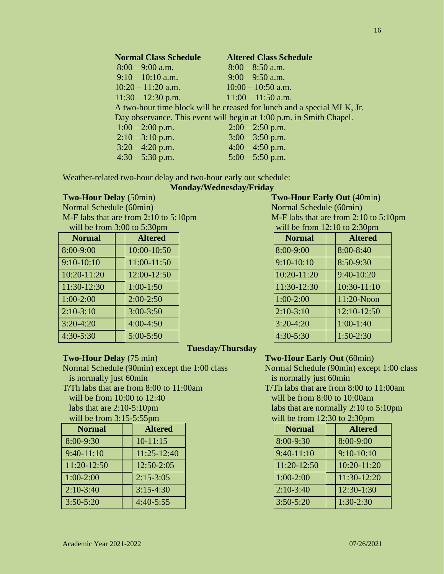| <b>Normal Class Schedule</b> | <b>Altered Class Schedule</b>                                          |
|------------------------------|------------------------------------------------------------------------|
| $8:00 - 9:00$ a.m.           | $8:00 - 8:50$ a.m.                                                     |
| $9:10 - 10:10$ a.m.          | $9:00 - 9:50$ a.m.                                                     |
| $10:20 - 11:20$ a.m.         | $10:00 - 10:50$ a.m.                                                   |
| $11:30 - 12:30$ p.m.         | $11:00 - 11:50$ a.m.                                                   |
|                              | A two-hour time block will be creased for lunch and a special MLK, Jr. |
|                              | Day observance. This event will begin at 1:00 p.m. in Smith Chapel.    |
| $1:00 - 2:00$ p.m.           | $2:00 - 2:50$ p.m.                                                     |
| $2:10-3:10$ p.m.             | $3:00 - 3:50$ p.m.                                                     |
| $3:20 - 4:20$ p.m.           | $4:00 - 4:50$ p.m.                                                     |
| $4:30 - 5:30$ p.m.           | $5:00 - 5:50$ p.m.                                                     |

Weather-related two-hour delay and two-hour early out schedule:

### **Monday/Wednesday/Friday**

Normal Schedule (60min) Normal Schedule (60min) M-F labs that are from 2:10 to 5:10pm  $M-F$  labs that are from 2:10 to 5:10pm

| $\frac{1}{2}$ |                | $m_{\rm H1}$ be home ready to expond |                |
|---------------|----------------|--------------------------------------|----------------|
| <b>Normal</b> | <b>Altered</b> | <b>Normal</b>                        | <b>Altered</b> |
| 8:00-9:00     | 10:00-10:50    | 8:00-9:00                            | 8:00-8:40      |
| $9:10-10:10$  | 11:00-11:50    | $9:10-10:10$                         | 8:50-9:30      |
| $10:20-11:20$ | 12:00-12:50    | 10:20-11:20                          | $9:40-10:20$   |
| $11:30-12:30$ | $1:00-1:50$    | 11:30-12:30                          | $10:30-11:10$  |
| $1:00-2:00$   | $2:00-2:50$    | $1:00-2:00$                          | 11:20-Noon     |
| $2:10-3:10$   | $3:00 - 3:50$  | $2:10-3:10$                          | 12:10-12:50    |
| $3:20-4:20$   | $4:00-4:50$    | $3:20-4:20$                          | $1:00-1:40$    |
| $4:30-5:30$   | $5:00 - 5:50$  | $4:30 - 5:30$                        | $1:50-2:30$    |

# **Tuesday/Thursday**

Normal Schedule (90min) except the 1:00 class Normal Schedule (90min) except 1:00 class is normally just 60min is normally just 60min

will be from 10:00 to 12:40 will be from 8:00 to 10:00am

| $\frac{1}{2}$ |                | 1110011111111100011111 |                 |
|---------------|----------------|------------------------|-----------------|
| <b>Normal</b> | <b>Altered</b> | <b>Normal</b>          | <b>Altered</b>  |
| 8:00-9:30     | $10-11:15$     | 8:00-9:30              | $8:00-9:00$     |
| $9:40-11:10$  | $11:25-12:40$  | $9:40-11:10$           | $9:10-10:10$    |
| $11:20-12:50$ | $12:50-2:05$   | 11:20-12:50            | $10:20 - 11:20$ |
| $1:00-2:00$   | $2:15-3:05$    | $1:00-2:00$            | 11:30-12:20     |
| $2:10-3:40$   | $3:15-4:30$    | $2:10-3:40$            | $12:30-1:30$    |
| $3:50 - 5:20$ | $4:40-5:55$    | $3:50 - 5:20$          | $1:30-2:30$     |
|               |                |                        |                 |

# **Two-Hour Delay** (50min) **Two-Hour Early Out** (40min) will be from  $3:00$  to  $5:30$ pm

| <b>Normal</b>  |  | <b>Altered</b> |  |
|----------------|--|----------------|--|
| 8:00-9:00      |  | 8:00-8:40      |  |
| $9:10 - 10:10$ |  | 8:50-9:30      |  |
| 10:20-11:20    |  | 9:40-10:20     |  |
| 11:30-12:30    |  | 10:30-11:10    |  |
| $1:00-2:00$    |  | 11:20-Noon     |  |
| $2:10-3:10$    |  | 12:10-12:50    |  |
| $3:20-4:20$    |  | $1:00-1:40$    |  |
| $4:30 - 5:30$  |  | $1:50-2:30$    |  |

### **Two-Hour Delay** (75 min) **Two-Hour Early Out** (60min)

T/Th labs that are from 8:00 to 11:00am T/Th labs that are from 8:00 to 11:00am labs that are  $2:10-5:10 \text{pm}$  labs that are normally  $2:10$  to  $5:10 \text{pm}$  will be from  $3:15-5:55 \text{pm}$  will be from  $12:30 \text{ to } 2:30 \text{pm}$ will be from  $12:30$  to  $2:30$ pm

| <b>Normal</b> | <b>Altered</b> |
|---------------|----------------|
| 8:00-9:30     | 8:00-9:00      |
| $9:40-11:10$  | $9:10-10:10$   |
| 11:20-12:50   | 10:20-11:20    |
| $1:00-2:00$   | 11:30-12:20    |
| $2:10-3:40$   | 12:30-1:30     |
| $3:50 - 5:20$ | $1:30-2:30$    |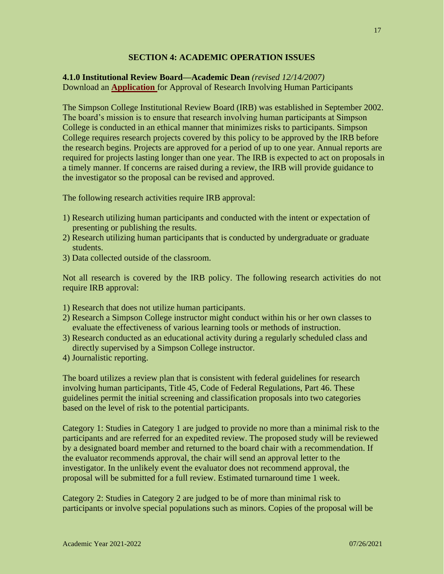### **SECTION 4: ACADEMIC OPERATION ISSUES**

# **4.1.0 Institutional Review Board—Academic Dean** *(revised 12/14/2007)* Download an **[Application](https://simpson.edu/internal/faculty-resources-home-page/governance/committees-and-members/institutional-review-board-0)** for Approval of Research Involving Human Participants

The Simpson College Institutional Review Board (IRB) was established in September 2002. The board's mission is to ensure that research involving human participants at Simpson College is conducted in an ethical manner that minimizes risks to participants. Simpson College requires research projects covered by this policy to be approved by the IRB before the research begins. Projects are approved for a period of up to one year. Annual reports are required for projects lasting longer than one year. The IRB is expected to act on proposals in a timely manner. If concerns are raised during a review, the IRB will provide guidance to the investigator so the proposal can be revised and approved.

The following research activities require IRB approval:

- 1) Research utilizing human participants and conducted with the intent or expectation of presenting or publishing the results.
- 2) Research utilizing human participants that is conducted by undergraduate or graduate students.
- 3) Data collected outside of the classroom.

Not all research is covered by the IRB policy. The following research activities do not require IRB approval:

- 1) Research that does not utilize human participants.
- 2) Research a Simpson College instructor might conduct within his or her own classes to evaluate the effectiveness of various learning tools or methods of instruction.
- 3) Research conducted as an educational activity during a regularly scheduled class and directly supervised by a Simpson College instructor.
- 4) Journalistic reporting.

The board utilizes a review plan that is consistent with federal guidelines for research involving human participants, Title 45, Code of Federal Regulations, Part 46. These guidelines permit the initial screening and classification proposals into two categories based on the level of risk to the potential participants.

Category 1: Studies in Category 1 are judged to provide no more than a minimal risk to the participants and are referred for an expedited review. The proposed study will be reviewed by a designated board member and returned to the board chair with a recommendation. If the evaluator recommends approval, the chair will send an approval letter to the investigator. In the unlikely event the evaluator does not recommend approval, the proposal will be submitted for a full review. Estimated turnaround time 1 week.

Category 2: Studies in Category 2 are judged to be of more than minimal risk to participants or involve special populations such as minors. Copies of the proposal will be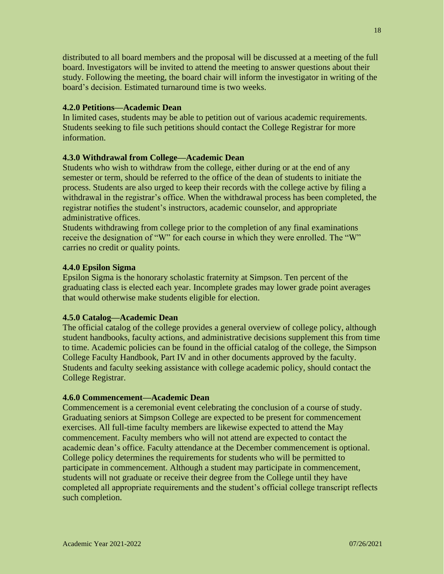distributed to all board members and the proposal will be discussed at a meeting of the full board. Investigators will be invited to attend the meeting to answer questions about their study. Following the meeting, the board chair will inform the investigator in writing of the board's decision. Estimated turnaround time is two weeks.

# **4.2.0 Petitions—Academic Dean**

In limited cases, students may be able to petition out of various academic requirements. Students seeking to file such petitions should contact the College Registrar for more information.

### **4.3.0 Withdrawal from College—Academic Dean**

Students who wish to withdraw from the college, either during or at the end of any semester or term, should be referred to the office of the dean of students to initiate the process. Students are also urged to keep their records with the college active by filing a withdrawal in the registrar's office. When the withdrawal process has been completed, the registrar notifies the student's instructors, academic counselor, and appropriate administrative offices.

Students withdrawing from college prior to the completion of any final examinations receive the designation of "W" for each course in which they were enrolled. The "W" carries no credit or quality points.

### **4.4.0 Epsilon Sigma**

Epsilon Sigma is the honorary scholastic fraternity at Simpson. Ten percent of the graduating class is elected each year. Incomplete grades may lower grade point averages that would otherwise make students eligible for election.

### **4.5.0 Catalog—Academic Dean**

The official catalog of the college provides a general overview of college policy, although student handbooks, faculty actions, and administrative decisions supplement this from time to time. Academic policies can be found in the official catalog of the college, the Simpson College Faculty Handbook, Part IV and in other documents approved by the faculty. Students and faculty seeking assistance with college academic policy, should contact the College Registrar.

### **4.6.0 Commencement—Academic Dean**

Commencement is a ceremonial event celebrating the conclusion of a course of study. Graduating seniors at Simpson College are expected to be present for commencement exercises. All full-time faculty members are likewise expected to attend the May commencement. Faculty members who will not attend are expected to contact the academic dean's office. Faculty attendance at the December commencement is optional. College policy determines the requirements for students who will be permitted to participate in commencement. Although a student may participate in commencement, students will not graduate or receive their degree from the College until they have completed all appropriate requirements and the student's official college transcript reflects such completion.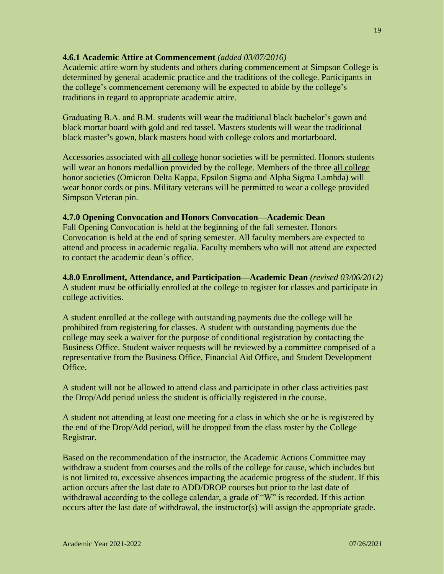# **4.6.1 Academic Attire at Commencement** *(added 03/07/2016)*

Academic attire worn by students and others during commencement at Simpson College is determined by general academic practice and the traditions of the college. Participants in the college's commencement ceremony will be expected to abide by the college's traditions in regard to appropriate academic attire.

Graduating B.A. and B.M. students will wear the traditional black bachelor's gown and black mortar board with gold and red tassel. Masters students will wear the traditional black master's gown, black masters hood with college colors and mortarboard.

Accessories associated with all college honor societies will be permitted. Honors students will wear an honors medallion provided by the college. Members of the three all college honor societies (Omicron Delta Kappa, Epsilon Sigma and Alpha Sigma Lambda) will wear honor cords or pins. Military veterans will be permitted to wear a college provided Simpson Veteran pin.

### **4.7.0 Opening Convocation and Honors Convocation—Academic Dean**

Fall Opening Convocation is held at the beginning of the fall semester. Honors Convocation is held at the end of spring semester. All faculty members are expected to attend and process in academic regalia. Faculty members who will not attend are expected to contact the academic dean's office.

**4.8.0 Enrollment, Attendance, and Participation—Academic Dean** *(revised 03/06/2012)* A student must be officially enrolled at the college to register for classes and participate in college activities.

A student enrolled at the college with outstanding payments due the college will be prohibited from registering for classes. A student with outstanding payments due the college may seek a waiver for the purpose of conditional registration by contacting the Business Office. Student waiver requests will be reviewed by a committee comprised of a representative from the Business Office, Financial Aid Office, and Student Development Office.

A student will not be allowed to attend class and participate in other class activities past the Drop/Add period unless the student is officially registered in the course.

A student not attending at least one meeting for a class in which she or he is registered by the end of the Drop/Add period, will be dropped from the class roster by the College Registrar.

Based on the recommendation of the instructor, the Academic Actions Committee may withdraw a student from courses and the rolls of the college for cause, which includes but is not limited to, excessive absences impacting the academic progress of the student. If this action occurs after the last date to ADD/DROP courses but prior to the last date of withdrawal according to the college calendar, a grade of "W" is recorded. If this action occurs after the last date of withdrawal, the instructor(s) will assign the appropriate grade.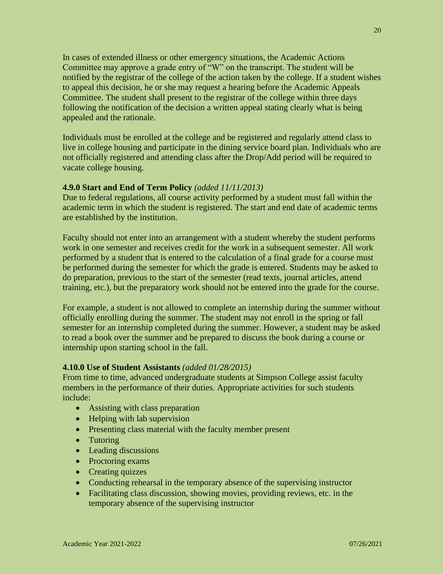In cases of extended illness or other emergency situations, the Academic Actions Committee may approve a grade entry of "W" on the transcript. The student will be notified by the registrar of the college of the action taken by the college. If a student wishes to appeal this decision, he or she may request a hearing before the Academic Appeals Committee. The student shall present to the registrar of the college within three days following the notification of the decision a written appeal stating clearly what is being appealed and the rationale.

Individuals must be enrolled at the college and be registered and regularly attend class to live in college housing and participate in the dining service board plan. Individuals who are not officially registered and attending class after the Drop/Add period will be required to vacate college housing.

# **4.9.0 Start and End of Term Policy** *(added 11/11/2013)*

Due to federal regulations, all course activity performed by a student must fall within the academic term in which the student is registered. The start and end date of academic terms are established by the institution.

Faculty should not enter into an arrangement with a student whereby the student performs work in one semester and receives credit for the work in a subsequent semester. All work performed by a student that is entered to the calculation of a final grade for a course must be performed during the semester for which the grade is entered. Students may be asked to do preparation, previous to the start of the semester (read texts, journal articles, attend training, etc.), but the preparatory work should not be entered into the grade for the course.

For example, a student is not allowed to complete an internship during the summer without officially enrolling during the summer. The student may not enroll in the spring or fall semester for an internship completed during the summer. However, a student may be asked to read a book over the summer and be prepared to discuss the book during a course or internship upon starting school in the fall.

# **4.10.0 Use of Student Assistants** *(added 01/28/2015)*

From time to time, advanced undergraduate students at Simpson College assist faculty members in the performance of their duties. Appropriate activities for such students include:

- Assisting with class preparation
- Helping with lab supervision
- Presenting class material with the faculty member present
- Tutoring
- Leading discussions
- Proctoring exams
- Creating quizzes
- Conducting rehearsal in the temporary absence of the supervising instructor
- Facilitating class discussion, showing movies, providing reviews, etc. in the temporary absence of the supervising instructor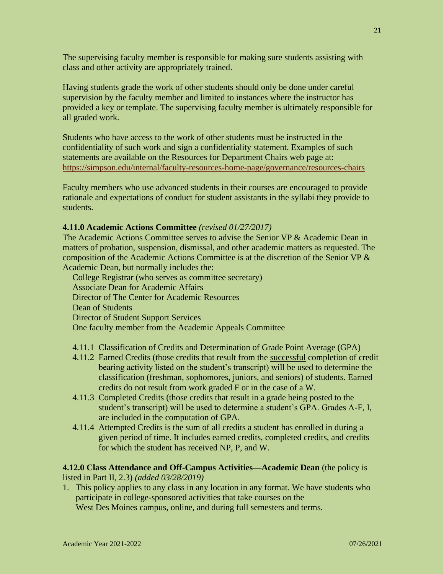The supervising faculty member is responsible for making sure students assisting with class and other activity are appropriately trained.

Having students grade the work of other students should only be done under careful supervision by the faculty member and limited to instances where the instructor has provided a key or template. The supervising faculty member is ultimately responsible for all graded work.

Students who have access to the work of other students must be instructed in the confidentiality of such work and sign a confidentiality statement. Examples of such statements are available on the Resources for Department Chairs web page at: <https://simpson.edu/internal/faculty-resources-home-page/governance/resources-chairs>

Faculty members who use advanced students in their courses are encouraged to provide rationale and expectations of conduct for student assistants in the syllabi they provide to students.

### **4.11.0 Academic Actions Committee** *(revised 01/27/2017)*

The Academic Actions Committee serves to advise the Senior VP & Academic Dean in matters of probation, suspension, dismissal, and other academic matters as requested. The composition of the Academic Actions Committee is at the discretion of the Senior VP & Academic Dean, but normally includes the:

College Registrar (who serves as committee secretary) Associate Dean for Academic Affairs Director of The Center for Academic Resources Dean of Students Director of Student Support Services One faculty member from the Academic Appeals Committee

- 4.11.1 Classification of Credits and Determination of Grade Point Average (GPA)
- 4.11.2 Earned Credits (those credits that result from the successful completion of credit bearing activity listed on the student's transcript) will be used to determine the classification (freshman, sophomores, juniors, and seniors) of students. Earned credits do not result from work graded F or in the case of a W.
- 4.11.3 Completed Credits (those credits that result in a grade being posted to the student's transcript) will be used to determine a student's GPA. Grades A-F, I, are included in the computation of GPA.
- 4.11.4 Attempted Credits is the sum of all credits a student has enrolled in during a given period of time. It includes earned credits, completed credits, and credits for which the student has received NP, P, and W.

**4.12.0 Class Attendance and Off-Campus Activities—Academic Dean** (the policy is listed in Part II, 2.3) *(added 03/28/2019)*

1. This policy applies to any class in any location in any format. We have students who participate in college-sponsored activities that take courses on the West Des Moines campus, online, and during full semesters and terms.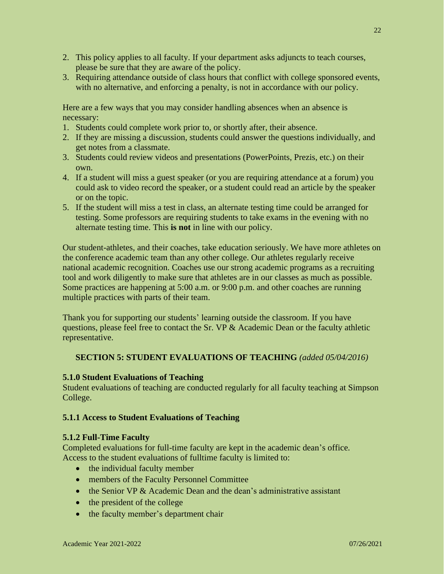- 2. This policy applies to all faculty. If your department asks adjuncts to teach courses, please be sure that they are aware of the policy.
- 3. Requiring attendance outside of class hours that conflict with college sponsored events, with no alternative, and enforcing a penalty, is not in accordance with our policy.

Here are a few ways that you may consider handling absences when an absence is necessary:

- 1. Students could complete work prior to, or shortly after, their absence.
- 2. If they are missing a discussion, students could answer the questions individually, and get notes from a classmate.
- 3. Students could review videos and presentations (PowerPoints, Prezis, etc.) on their own.
- 4. If a student will miss a guest speaker (or you are requiring attendance at a forum) you could ask to video record the speaker, or a student could read an article by the speaker or on the topic.
- 5. If the student will miss a test in class, an alternate testing time could be arranged for testing. Some professors are requiring students to take exams in the evening with no alternate testing time. This **is not** in line with our policy.

Our student-athletes, and their coaches, take education seriously. We have more athletes on the conference academic team than any other college. Our athletes regularly receive national academic recognition. Coaches use our strong academic programs as a recruiting tool and work diligently to make sure that athletes are in our classes as much as possible. Some practices are happening at 5:00 a.m. or 9:00 p.m. and other coaches are running multiple practices with parts of their team.

Thank you for supporting our students' learning outside the classroom. If you have questions, please feel free to contact the Sr. VP & Academic Dean or the faculty athletic representative.

# **SECTION 5: STUDENT EVALUATIONS OF TEACHING** *(added 05/04/2016)*

### **5.1.0 Student Evaluations of Teaching**

Student evaluations of teaching are conducted regularly for all faculty teaching at Simpson College.

### **5.1.1 Access to Student Evaluations of Teaching**

### **5.1.2 Full-Time Faculty**

Completed evaluations for full-time faculty are kept in the academic dean's office. Access to the student evaluations of fulltime faculty is limited to:

- the individual faculty member
- members of the Faculty Personnel Committee
- the Senior VP & Academic Dean and the dean's administrative assistant
- the president of the college
- the faculty member's department chair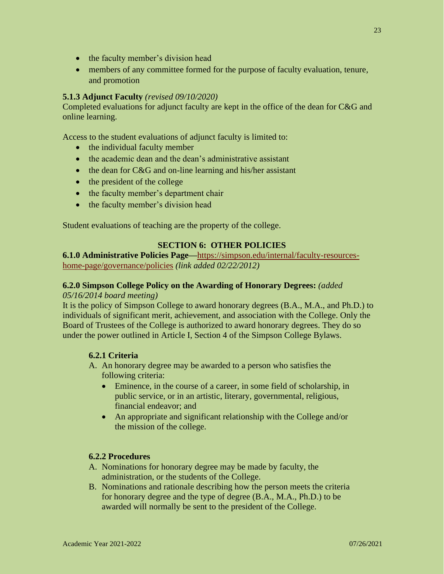- the faculty member's division head
- members of any committee formed for the purpose of faculty evaluation, tenure, and promotion

# **5.1.3 Adjunct Faculty** *(revised 09/10/2020)*

Completed evaluations for adjunct faculty are kept in the office of the dean for C&G and online learning.

Access to the student evaluations of adjunct faculty is limited to:

- the individual faculty member
- the academic dean and the dean's administrative assistant
- the dean for C&G and on-line learning and his/her assistant
- the president of the college
- the faculty member's department chair
- the faculty member's division head

Student evaluations of teaching are the property of the college.

# **SECTION 6: OTHER POLICIES**

**6.1.0 Administrative Policies Page—**[https://simpson.edu/internal/faculty-resources](https://simpson.edu/internal/faculty-resources-home-page/governance/policies)[home-page/governance/policies](https://simpson.edu/internal/faculty-resources-home-page/governance/policies) *(link added 02/22/2012)*

### **6.2.0 Simpson College Policy on the Awarding of Honorary Degrees:** *(added 05/16/2014 board meeting)*

It is the policy of Simpson College to award honorary degrees (B.A., M.A., and Ph.D.) to individuals of significant merit, achievement, and association with the College. Only the Board of Trustees of the College is authorized to award honorary degrees. They do so under the power outlined in Article I, Section 4 of the Simpson College Bylaws.

# **6.2.1 Criteria**

- A. An honorary degree may be awarded to a person who satisfies the following criteria:
	- Eminence, in the course of a career, in some field of scholarship, in public service, or in an artistic, literary, governmental, religious, financial endeavor; and
	- An appropriate and significant relationship with the College and/or the mission of the college.

# **6.2.2 Procedures**

- A. Nominations for honorary degree may be made by faculty, the administration, or the students of the College.
- B. Nominations and rationale describing how the person meets the criteria for honorary degree and the type of degree (B.A., M.A., Ph.D.) to be awarded will normally be sent to the president of the College.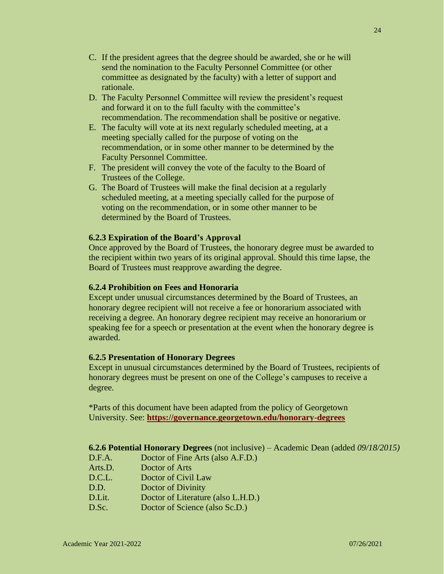- C. If the president agrees that the degree should be awarded, she or he will send the nomination to the Faculty Personnel Committee (or other committee as designated by the faculty) with a letter of support and rationale.
- D. The Faculty Personnel Committee will review the president's request and forward it on to the full faculty with the committee's recommendation. The recommendation shall be positive or negative.
- E. The faculty will vote at its next regularly scheduled meeting, at a meeting specially called for the purpose of voting on the recommendation, or in some other manner to be determined by the Faculty Personnel Committee.
- F. The president will convey the vote of the faculty to the Board of Trustees of the College.
- G. The Board of Trustees will make the final decision at a regularly scheduled meeting, at a meeting specially called for the purpose of voting on the recommendation, or in some other manner to be determined by the Board of Trustees.

### **6.2.3 Expiration of the Board's Approval**

Once approved by the Board of Trustees, the honorary degree must be awarded to the recipient within two years of its original approval. Should this time lapse, the Board of Trustees must reapprove awarding the degree.

### **6.2.4 Prohibition on Fees and Honoraria**

Except under unusual circumstances determined by the Board of Trustees, an honorary degree recipient will not receive a fee or honorarium associated with receiving a degree. An honorary degree recipient may receive an honorarium or speaking fee for a speech or presentation at the event when the honorary degree is awarded.

### **6.2.5 Presentation of Honorary Degrees**

Except in unusual circumstances determined by the Board of Trustees, recipients of honorary degrees must be present on one of the College's campuses to receive a degree.

\*Parts of this document have been adapted from the policy of Georgetown University. See: **<https://governance.georgetown.edu/honorary-degrees>**

### **6.2.6 Potential Honorary Degrees** (not inclusive) – Academic Dean (added *09/18/2015)*

- D.F.A. Doctor of Fine Arts (also A.F.D.)
- Arts.D. Doctor of Arts
- D.C.L. Doctor of Civil Law
- D.D. Doctor of Divinity
- D.Lit. Doctor of Literature (also L.H.D.)
- D.Sc. Doctor of Science (also Sc.D.)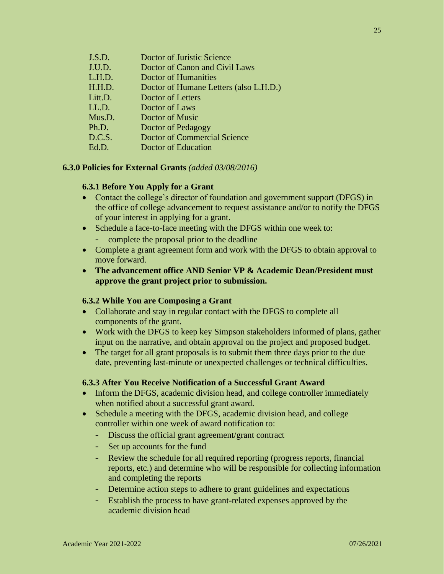| J.S.D.  | Doctor of Juristic Science             |
|---------|----------------------------------------|
| J.U.D.  | Doctor of Canon and Civil Laws         |
| L.H.D.  | <b>Doctor of Humanities</b>            |
| H.H.D.  | Doctor of Humane Letters (also L.H.D.) |
| Litt.D. | Doctor of Letters                      |
| LL.D.   | Doctor of Laws                         |
| Mus.D.  | Doctor of Music                        |
| Ph.D.   | Doctor of Pedagogy                     |
| D.C.S.  | <b>Doctor of Commercial Science</b>    |
| Ed.D.   | Doctor of Education                    |
|         |                                        |

### **6.3.0 Policies for External Grants** *(added 03/08/2016)*

### **6.3.1 Before You Apply for a Grant**

- Contact the college's director of foundation and government support (DFGS) in the office of college advancement to request assistance and/or to notify the DFGS of your interest in applying for a grant.
- Schedule a face-to-face meeting with the DFGS within one week to:
	- complete the proposal prior to the deadline
- Complete a grant agreement form and work with the DFGS to obtain approval to move forward.
- **The advancement office AND Senior VP & Academic Dean/President must approve the grant project prior to submission.**

### **6.3.2 While You are Composing a Grant**

- Collaborate and stay in regular contact with the DFGS to complete all components of the grant.
- Work with the DFGS to keep key Simpson stakeholders informed of plans, gather input on the narrative, and obtain approval on the project and proposed budget.
- The target for all grant proposals is to submit them three days prior to the due date, preventing last-minute or unexpected challenges or technical difficulties.

# **6.3.3 After You Receive Notification of a Successful Grant Award**

- Inform the DFGS, academic division head, and college controller immediately when notified about a successful grant award.
- Schedule a meeting with the DFGS, academic division head, and college controller within one week of award notification to:
	- Discuss the official grant agreement/grant contract
	- Set up accounts for the fund
	- Review the schedule for all required reporting (progress reports, financial reports, etc.) and determine who will be responsible for collecting information and completing the reports
	- Determine action steps to adhere to grant guidelines and expectations
	- Establish the process to have grant-related expenses approved by the academic division head